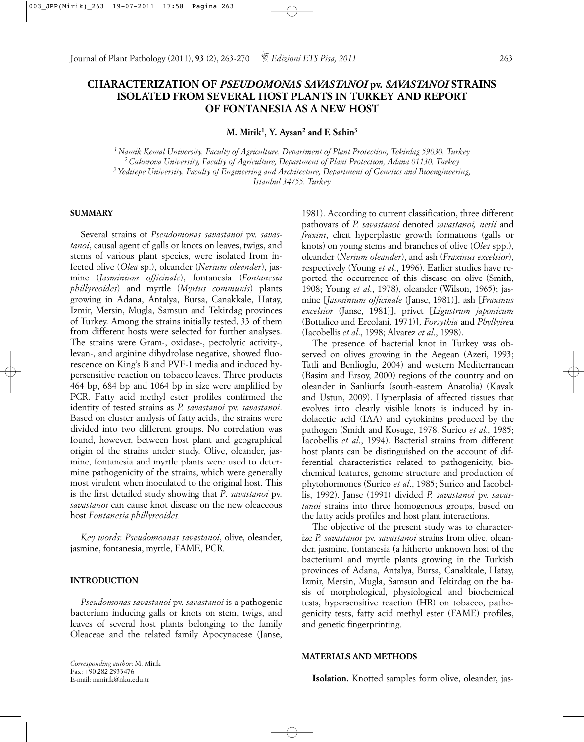# **CHARACTERIZATION OF** *PSEUDOMONAS SAVASTANOI* **pv.** *SAVASTANOI* **STRAINS ISOLATED FROM SEVERAL HOST PLANTS IN TURKEY AND REPORT OF FONTANESIA AS A NEW HOST**

**M. Mirik1, Y. Aysan2 and F. Sahin3**

*1 Namik Kemal University, Faculty of Agriculture, Department of Plant Protection, Tekirdag 59030, Turkey 2 Cukurova University, Faculty of Agriculture, Department of Plant Protection, Adana 01130, Turkey 3 Yeditepe University, Faculty of Engineering and Architecture, Department of Genetics and Bioengineering, Istanbul 34755, Turkey*

## **SUMMARY**

Several strains of *Pseudomonas savastanoi* pv. *savastanoi*, causal agent of galls or knots on leaves, twigs, and stems of various plant species, were isolated from infected olive (*Olea* sp.), oleander (*Nerium oleander*), jasmine (*Jasminium officinale*), fontanesia (*Fontanesia phillyreoides*) and myrtle (*Myrtus communis*) plants growing in Adana, Antalya, Bursa, Canakkale, Hatay, Izmir, Mersin, Mugla, Samsun and Tekirdag provinces of Turkey. Among the strains initially tested, 33 of them from different hosts were selected for further analyses. The strains were Gram-, oxidase-, pectolytic activity-, levan-, and arginine dihydrolase negative, showed fluorescence on King's B and PVF-1 media and induced hypersensitive reaction on tobacco leaves. Three products 464 bp, 684 bp and 1064 bp in size were amplified by PCR. Fatty acid methyl ester profiles confirmed the identity of tested strains as *P. savastanoi* pv. *savastanoi*. Based on cluster analysis of fatty acids, the strains were divided into two different groups. No correlation was found, however, between host plant and geographical origin of the strains under study. Olive, oleander, jasmine, fontanesia and myrtle plants were used to determine pathogenicity of the strains, which were generally most virulent when inoculated to the original host. This is the first detailed study showing that *P*. *savastanoi* pv. *savastanoi* can cause knot disease on the new oleaceous host *Fontanesia phillyreoides.*

*Key words*: *Pseudomoanas savastanoi*, olive, oleander, jasmine, fontanesia, myrtle, FAME, PCR.

### **INTRODUCTION**

*Pseudomonas savastanoi* pv. *savastanoi* is a pathogenic bacterium inducing galls or knots on stem, twigs, and leaves of several host plants belonging to the family Oleaceae and the related family Apocynaceae (Janse,

The presence of bacterial knot in Turkey was observed on olives growing in the Aegean (Azeri, 1993; Tatli and Benlioglu, 2004) and western Mediterranean (Basim and Ersoy, 2000) regions of the country and on oleander in Sanliurfa (south-eastern Anatolia) (Kavak and Ustun, 2009). Hyperplasia of affected tissues that evolves into clearly visible knots is induced by indolacetic acid (IAA) and cytokinins produced by the pathogen (Smidt and Kosuge, 1978; Surico *et al*., 1985; Iacobellis *et al*., 1994). Bacterial strains from different host plants can be distinguished on the account of differential characteristics related to pathogenicity, biochemical features, genome structure and production of phytohormones (Surico *et al*., 1985; Surico and Iacobellis, 1992). Janse (1991) divided *P. savastanoi* pv. *savastanoi* strains into three homogenous groups, based on the fatty acids profiles and host plant interactions.

The objective of the present study was to characterize *P. savastanoi* pv. *savastanoi* strains from olive, oleander, jasmine, fontanesia (a hitherto unknown host of the bacterium) and myrtle plants growing in the Turkish provinces of Adana, Antalya, Bursa, Canakkale, Hatay, Izmir, Mersin, Mugla, Samsun and Tekirdag on the basis of morphological, physiological and biochemical tests, hypersensitive reaction (HR) on tobacco, pathogenicity tests, fatty acid methyl ester (FAME) profiles, and genetic fingerprinting.

#### **MATERIALS AND METHODS**

*Corresponding author*: M. Mirik Fax: +90 282 2933476 E-mail: mmirik@nku.edu.tr

<sup>1981).</sup> According to current classification, three different pathovars of *P. savastanoi* denoted *savastanoi, nerii* and *fraxini*, elicit hyperplastic growth formations (galls or knots) on young stems and branches of olive (*Olea* spp.), oleander (*Nerium oleander*), and ash (*Fraxinus excelsior*), respectively (Young *et al*., 1996). Earlier studies have reported the occurrence of this disease on olive (Smith, 1908; Young *et al*., 1978), oleander (Wilson, 1965); jasmine [*Jasminium officinale* (Janse, 1981)], ash [*Fraxinus excelsior* (Janse, 1981)], privet [*Ligustrum japonicum* (Bottalico and Ercolani, 1971)], *Forsythia* and *Phyllyire*a (Iacobellis *et al*., 1998; Alvarez *et al*., 1998).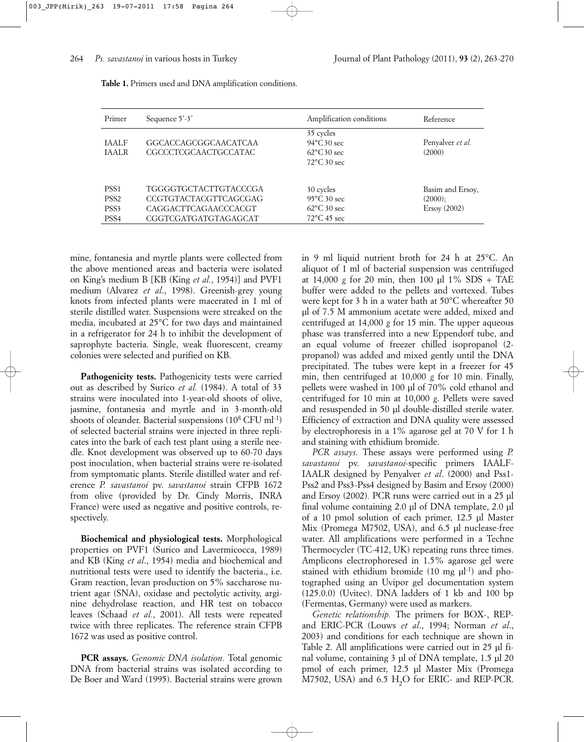| Primer                                                           | Sequence $5'$ -3'                                                                                     | Amplification conditions                                                             | Reference                                         |
|------------------------------------------------------------------|-------------------------------------------------------------------------------------------------------|--------------------------------------------------------------------------------------|---------------------------------------------------|
| <b>TAALF</b><br><b>TAALR</b>                                     | GGCACCAGCGGCAACATCAA<br>CGCCCTCGCAACTGCCATAC                                                          | 35 cycles<br>$94^{\circ}$ C 30 sec<br>$62^{\circ}$ C 30 sec<br>$72^{\circ}$ C 30 sec | Penyalver et al.<br>(2000)                        |
| PSS <sub>1</sub><br>PSS <sub>2</sub><br>PSS3<br>PSS <sub>4</sub> | TGGGGTGCTACTTGTACCCGA<br><b>CCGTGTACTACGTTCAGCGAG</b><br>CAGGACTTCAGAACCCACGT<br>CGGTCGATGATGTAGAGCAT | 30 cycles<br>$95^{\circ}$ C 30 sec<br>$62^{\circ}$ C 30 sec<br>$72^{\circ}$ C 45 sec | Basim and Ersoy,<br>$(2000)$ ;<br>$E$ rsoy (2002) |

| Table 1. Primers used and DNA amplification conditions. |  |  |  |
|---------------------------------------------------------|--|--|--|
|---------------------------------------------------------|--|--|--|

mine, fontanesia and myrtle plants were collected from the above mentioned areas and bacteria were isolated on King's medium B [KB (King *et al.*, 1954)] and PVF1 medium (Alvarez *et al*., 1998). Greenish-grey young knots from infected plants were macerated in 1 ml of sterile distilled water. Suspensions were streaked on the media, incubated at 25°C for two days and maintained in a refrigerator for 24 h to inhibit the development of saprophyte bacteria. Single, weak fluorescent, creamy colonies were selected and purified on KB.

Pathogenicity tests. Pathogenicity tests were carried out as described by Surico *et al.* (1984). A total of 33 strains were inoculated into 1-year-old shoots of olive, jasmine, fontanesia and myrtle and in 3-month-old shoots of oleander. Bacterial suspensions  $(10^8 \text{ CFU ml-1})$ of selected bacterial strains were injected in three replicates into the bark of each test plant using a sterile needle. Knot development was observed up to 60-70 days post inoculation, when bacterial strains were re-isolated from symptomatic plants. Sterile distilled water and reference *P. savastanoi* pv. *savastanoi* strain CFPB 1672 from olive (provided by Dr. Cindy Morris, INRA France) were used as negative and positive controls, respectively.

**Biochemical and physiological tests.** Morphological properties on PVF1 (Surico and Lavermicocca, 1989) and KB (King *et al*., 1954) media and biochemical and nutritional tests were used to identify the bacteria., i.e. Gram reaction, levan production on 5% saccharose nutrient agar (SNA), oxidase and pectolytic activity, arginine dehydrolase reaction, and HR test on tobacco leaves (Schaad *et al.*, 2001). All tests were repeated twice with three replicates. The reference strain CFPB 1672 was used as positive control.

**PCR assays.** *Genomic DNA isolation.* Total genomic DNA from bacterial strains was isolated according to De Boer and Ward (1995). Bacterial strains were grown in 9 ml liquid nutrient broth for 24 h at 25°C. An aliquot of 1 ml of bacterial suspension was centrifuged at 14,000 *g* for 20 min, then 100 µl 1% SDS + TAE buffer were added to the pellets and vortexed. Tubes were kept for 3 h in a water bath at 50°C whereafter 50 µl of 7.5 M ammonium acetate were added, mixed and centrifuged at 14,000 *g* for 15 min. The upper aqueous phase was transferred into a new Eppendorf tube, and an equal volume of freezer chilled isopropanol (2 propanol) was added and mixed gently until the DNA precipitated. The tubes were kept in a freezer for 45 min, then centrifuged at 10,000 *g* for 10 min. Finally, pellets were washed in 100 µl of 70% cold ethanol and centrifuged for 10 min at 10,000 *g*. Pellets were saved and resuspended in 50 µl double-distilled sterile water. Efficiency of extraction and DNA quality were assessed by electrophoresis in a 1% agarose gel at 70 V for 1 h and staining with ethidium bromide.

*PCR assays.* These assays were performed using *P. savastanoi* pv. *savastanoi*-specific primers IAALF-IAALR designed by Penyalver *et al*. (2000) and Pss1- Pss2 and Pss3-Pss4 designed by Basim and Ersoy (2000) and Ersoy (2002)*.* PCR runs were carried out in a 25 µl final volume containing 2.0 µl of DNA template, 2.0 µl of a 10 pmol solution of each primer, 12.5 µl Master Mix (Promega M7502, USA), and 6.5 µl nuclease-free water. All amplifications were performed in a Techne Thermocycler (TC-412, UK) repeating runs three times. Amplicons electrophoresed in 1.5% agarose gel were stained with ethidium bromide  $(10 \text{ mg } \mu^{-1})$  and photographed using an Uvipor gel documentation system (125.0.0) (Uvitec). DNA ladders of 1 kb and 100 bp (Fermentas, Germany) were used as markers.

*Genetic relationship.* The primers for BOX-, REPand ERIC-PCR (Louws *et al*., 1994; Norman *et al*., 2003) and conditions for each technique are shown in Table 2. All amplifications were carried out in 25 µl final volume, containing 3 µl of DNA template, 1.5 µl 20 pmol of each primer, 12.5 µl Master Mix (Promega M7502, USA) and 6.5 H<sub>2</sub>O for ERIC- and REP-PCR.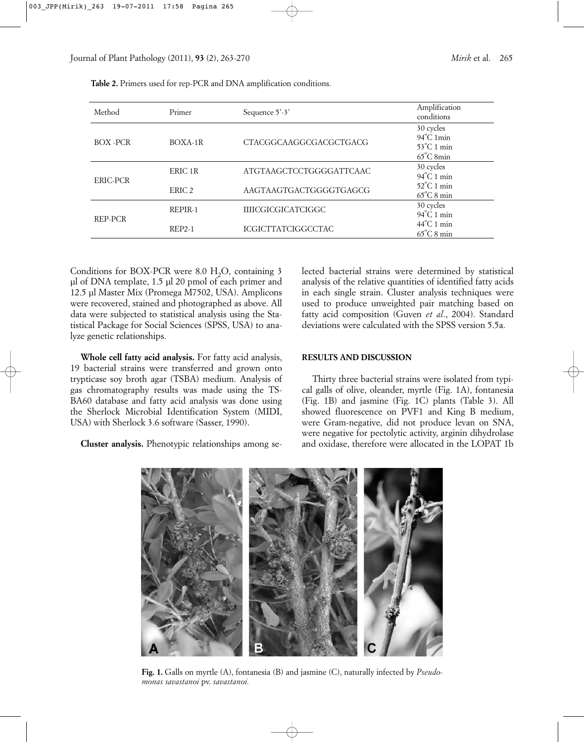| Method    | Primer            | Sequence $5'$ -3'         | Amplification<br>conditions                                                     |
|-----------|-------------------|---------------------------|---------------------------------------------------------------------------------|
| BOX - PCR | BOXA-1R           | CTACGGCAAGGCGACGCTGACG    | 30 cycles<br>$94^{\circ}$ C 1min<br>$53^{\circ}$ C 1 min<br>$65^{\circ}$ C 8min |
| ERIC-PCR  | ERIC 1R           | ATGTAAGCTCCTGGGGATTCAAC   | 30 cycles<br>$94^{\circ}$ C 1 min                                               |
|           | ERIC <sub>2</sub> | AAGTAAGTGACTGGGGTGAGCG    | $52^{\circ}$ C 1 min<br>$65^{\circ}$ C 8 min                                    |
| REP-PCR   | REPIR-1           | <b>IIIICGICGICATCIGGC</b> | 30 cycles<br>$94^{\circ}$ C 1 min                                               |
|           | $REP2-1$          | <b>ICGICTTATCIGGCCTAC</b> | $44^{\circ}$ C 1 min<br>$65^{\circ}$ C 8 min                                    |

**Table 2.** Primers used for rep-PCR and DNA amplification conditions.

Conditions for BOX-PCR were 8.0  $H<sub>2</sub>O$ , containing 3 µl of DNA template, 1.5 µl 20 pmol of each primer and 12.5 µl Master Mix (Promega M7502, USA). Amplicons were recovered, stained and photographed as above. All data were subjected to statistical analysis using the Statistical Package for Social Sciences (SPSS, USA) to analyze genetic relationships.

**Whole cell fatty acid analysis.** For fatty acid analysis, 19 bacterial strains were transferred and grown onto trypticase soy broth agar (TSBA) medium. Analysis of gas chromatography results was made using the TS-BA60 database and fatty acid analysis was done using the Sherlock Microbial Identification System (MIDI, USA) with Sherlock 3.6 software (Sasser, 1990).

**Cluster analysis.** Phenotypic relationships among se-

lected bacterial strains were determined by statistical analysis of the relative quantities of identified fatty acids in each single strain. Cluster analysis techniques were used to produce unweighted pair matching based on fatty acid composition (Guven *et al*., 2004). Standard deviations were calculated with the SPSS version 5.5a.

#### **RESULTS AND DISCUSSION**

Thirty three bacterial strains were isolated from typical galls of olive, oleander, myrtle (Fig. 1A), fontanesia (Fig. 1B) and jasmine (Fig. 1C) plants (Table 3). All showed fluorescence on PVF1 and King B medium, were Gram-negative, did not produce levan on SNA, were negative for pectolytic activity, arginin dihydrolase and oxidase, therefore were allocated in the LOPAT 1b



**Fig. 1.** Galls on myrtle (A), fontanesia (B) and jasmine (C), naturally infected by *Pseudomonas savastanoi* pv. *savastanoi.*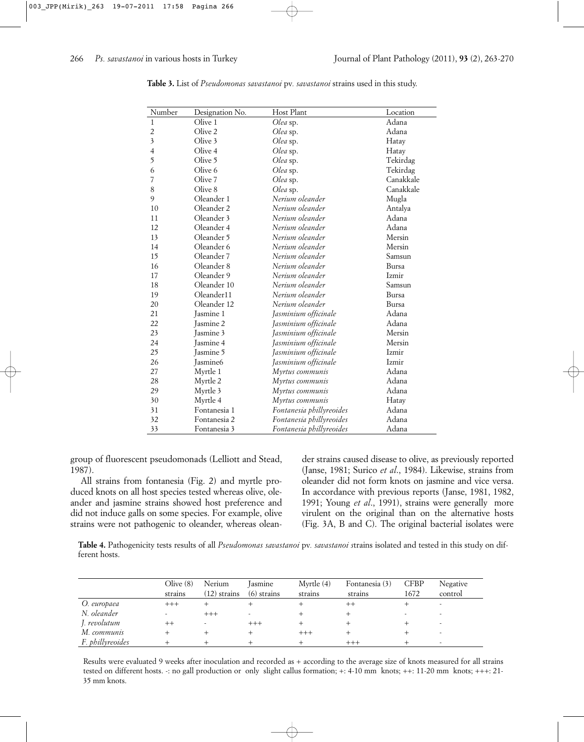| Number                  | Designation No.      | Host Plant               | Location     |
|-------------------------|----------------------|--------------------------|--------------|
| $\mathbf{1}$            | Olive 1              | Olea sp.                 | Adana        |
| $\overline{c}$          | Olive 2              | Olea sp.                 | Adana        |
| $\overline{\mathbf{3}}$ | Olive 3              | Olea sp.                 | Hatay        |
| $\overline{4}$          | Olive 4              | Olea sp.                 | Hatay        |
| 5                       | Olive 5              | Olea sp.                 | Tekirdag     |
| 6                       | Olive 6              | Olea sp.                 | Tekirdag     |
| 7                       | Olive 7              | Olea sp.                 | Canakkale    |
| 8                       | Olive 8              | Olea sp.                 | Canakkale    |
| 9                       | Oleander 1           | Nerium oleander          | Mugla        |
| 10                      | Oleander 2           | Nerium oleander          | Antalya      |
| 11                      | Oleander 3           | Nerium oleander          | Adana        |
| 12                      | Oleander 4           | Nerium oleander          | Adana        |
| 13                      | Oleander 5           | Nerium oleander          | Mersin       |
| 14                      | Oleander 6           | Nerium oleander          | Mersin       |
| 15                      | Oleander 7           | Nerium oleander          | Samsun       |
| 16                      | Oleander 8           | Nerium oleander          | Bursa        |
| 17                      | Oleander 9           | Nerium oleander          | <b>Izmir</b> |
| 18                      | Oleander 10          | Nerium oleander          | Samsun       |
| 19                      | Oleander11           | Nerium oleander          | Bursa        |
| 20                      | Oleander 12          | Nerium oleander          | <b>Bursa</b> |
| 21                      | Jasmine 1            | Jasminium officinale     | Adana        |
| 22                      | Jasmine 2            | Jasminium officinale     | Adana        |
| 23                      | <b>Jasmine 3</b>     | Jasminium officinale     | Mersin       |
| 24                      | Jasmine 4            | Jasminium officinale     | Mersin       |
| 25                      | <b>Jasmine 5</b>     | Jasminium officinale     | Izmir        |
| 26                      | Jasmine <sub>6</sub> | Jasminium officinale     | Izmir        |
| 27                      | Myrtle 1             | Myrtus communis          | Adana        |
| 28                      | Myrtle 2             | Myrtus communis          | Adana        |
| 29                      | Myrtle 3             | Myrtus communis          | Adana        |
| 30                      | Myrtle 4             | Myrtus communis          | Hatay        |
| 31                      | Fontanesia 1         | Fontanesia phillyreoides | Adana        |
| 32                      | Fontanesia 2         | Fontanesia phillyreoides | Adana        |
| 33                      | Fontanesia 3         | Fontanesia phillyreoides | Adana        |

**Table 3.** List of *Pseudomonas savastanoi* pv*. savastanoi* strains used in this study.

group of fluorescent pseudomonads (Lelliott and Stead, 1987).

All strains from fontanesia (Fig. 2) and myrtle produced knots on all host species tested whereas olive, oleander and jasmine strains showed host preference and did not induce galls on some species. For example, olive strains were not pathogenic to oleander, whereas oleander strains caused disease to olive, as previously reported (Janse, 1981; Surico *et al*., 1984). Likewise, strains from oleander did not form knots on jasmine and vice versa. In accordance with previous reports (Janse, 1981, 1982, 1991; Young *et al*., 1991), strains were generally more virulent on the original than on the alternative hosts (Fig. 3A, B and C). The original bacterial isolates were

**Table 4.** Pathogenicity tests results of all *Pseudomonas savastanoi* pv*. savastanoi s*trains isolated and tested in this study on different hosts.

|                  | Olive $(8)$<br>strains | Nerium<br>(12) strains | lasmine<br>$(6)$ strains | Myrtle $(4)$<br>strains | Fontanesia (3)<br>strains | <b>CFBP</b><br>1672 | Negative<br>control |
|------------------|------------------------|------------------------|--------------------------|-------------------------|---------------------------|---------------------|---------------------|
| O. europaea      | $^{+++}$               |                        |                          |                         | $^{++}$                   |                     |                     |
| N. oleander      |                        | $^{+++}$               |                          |                         |                           |                     |                     |
| J. revolutum     |                        |                        | $^{+++}$                 |                         |                           |                     |                     |
| M. communis      |                        |                        |                          | $^{+++}$                |                           |                     |                     |
| F. phillyreoides |                        |                        |                          |                         |                           |                     |                     |

Results were evaluated 9 weeks after inoculation and recorded as + according to the average size of knots measured for all strains tested on different hosts. -: no gall production or only slight callus formation; +: 4-10 mm knots; ++: 11-20 mm knots; +++: 21- 35 mm knots.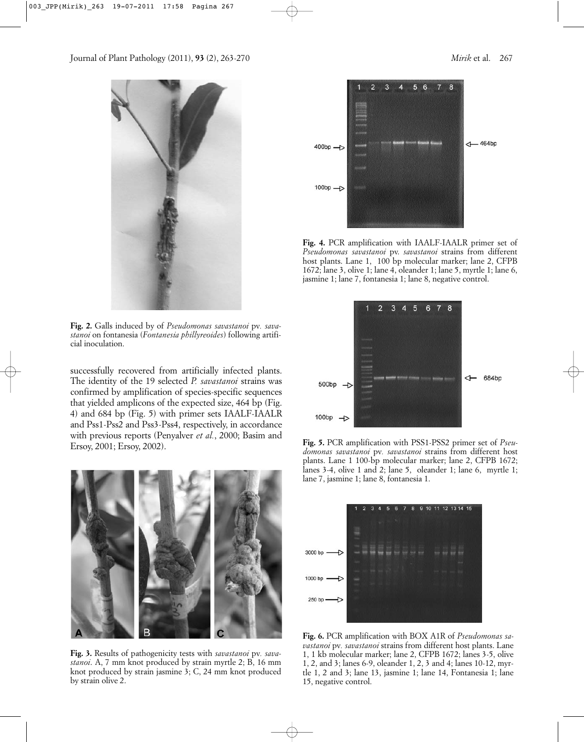

**Fig. 2.** Galls induced by of *Pseudomonas savastanoi* pv*. savastanoi* on fontanesia (*Fontanesia phillyreoides*) following artificial inoculation.

successfully recovered from artificially infected plants. The identity of the 19 selected *P. savastanoi* strains was confirmed by amplification of species-specific sequences that yielded amplicons of the expected size, 464 bp (Fig. 4) and 684 bp (Fig. 5) with primer sets IAALF-IAALR and Pss1-Pss2 and Pss3-Pss4, respectively, in accordance with previous reports (Penyalver *et al.*, 2000; Basim and Ersoy, 2001; Ersoy, 2002).



**Fig. 3.** Results of pathogenicity tests with *savastanoi* pv*. savastanoi*. A, 7 mm knot produced by strain myrtle 2; B, 16 mm knot produced by strain jasmine 3; C, 24 mm knot produced by strain olive 2.



**Fig. 4.** PCR amplification with IAALF-IAALR primer set of *Pseudomonas savastanoi* pv. *savastanoi* strains from different host plants. Lane 1, 100 bp molecular marker; lane 2, CFPB 1672; lane 3, olive 1; lane 4, oleander 1; lane 5, myrtle 1; lane 6, jasmine 1; lane 7, fontanesia 1; lane 8, negative control.



**Fig. 5.** PCR amplification with PSS1-PSS2 primer set of *Pseudomonas savastanoi* pv*. savastanoi* strains from different host plants. Lane 1 100-bp molecular marker; lane 2, CFPB 1672; lanes 3-4, olive 1 and 2; lane 5, oleander 1; lane 6, myrtle 1; lane 7, jasmine 1; lane 8, fontanesia 1.



**Fig. 6.** PCR amplification with BOX A1R of *Pseudomonas savastanoi* pv*. savastanoi* strains from different host plants. Lane 1, 1 kb molecular marker; lane 2, CFPB 1672; lanes 3-5, olive 1, 2, and 3; lanes 6-9, oleander 1, 2, 3 and 4; lanes 10-12, myrtle 1, 2 and 3; lane 13, jasmine 1; lane 14, Fontanesia 1; lane 15, negative control.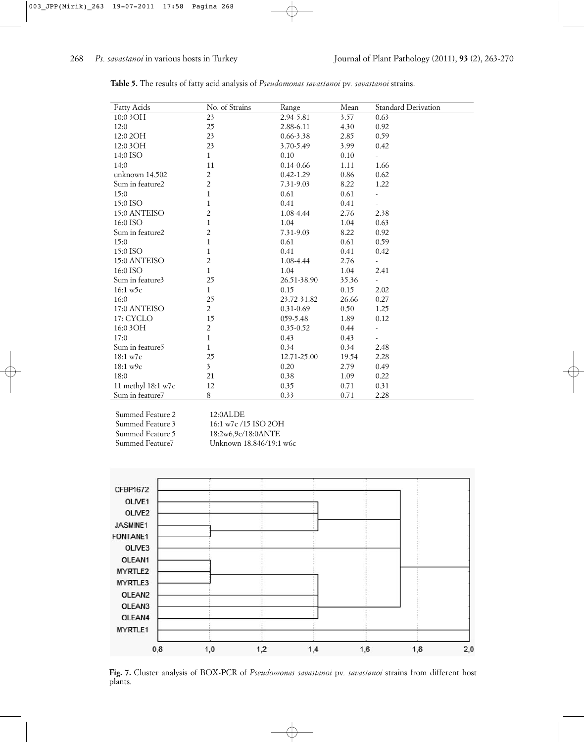| <b>Fatty Acids</b>          | No. of Strains          | Range         | Mean  | Standard Derivation      |
|-----------------------------|-------------------------|---------------|-------|--------------------------|
| 10:0 3 O H                  | 23                      | 2.94-5.81     | 3.57  | 0.63                     |
| 12:0                        | 25                      | 2.88-6.11     | 4.30  | 0.92                     |
| 12:0 2OH                    | 23                      | $0.66 - 3.38$ | 2.85  | 0.59                     |
| 12:0 3 O H                  | 23                      | 3.70-5.49     | 3.99  | 0.42                     |
| 14:0 ISO                    | $\mathbf{1}$            | 0.10          | 0.10  |                          |
| 14:0                        | 11                      | $0.14 - 0.66$ | 1.11  | 1.66                     |
| unknown $14.502$            | $\overline{c}$          | $0.42 - 1.29$ | 0.86  | 0.62                     |
| Sum in feature2             | $\overline{c}$          | 7.31-9.03     | 8.22  | 1.22                     |
| 15:0                        | $\mathbf{1}$            | 0.61          | 0.61  |                          |
| 15:0 ISO                    | $\mathbf{1}$            | 0.41          | 0.41  |                          |
| 15:0 ANTEISO                | $\overline{c}$          | 1.08-4.44     | 2.76  | 2.38                     |
| 16:0 ISO                    | $\mathbf{1}$            | 1.04          | 1.04  | 0.63                     |
| Sum in feature2             | 2                       | 7.31-9.03     | 8.22  | 0.92                     |
| 15:0                        | $\mathbf{1}$            | 0.61          | 0.61  | 0.59                     |
| 15:0 ISO                    | $\mathbf{1}$            | 0.41          | 0.41  | 0.42                     |
| 15:0 ANTEISO                | $\overline{c}$          | 1.08-4.44     | 2.76  | $\overline{\phantom{a}}$ |
| 16:0 ISO                    | $\mathbf{1}$            | 1.04          | 1.04  | 2.41                     |
| Sum in feature3             | 25                      | 26.51-38.90   | 35.36 |                          |
| $16:1 \text{ w5c}$          | $\mathbf{1}$            | 0.15          | 0.15  | 2.02                     |
| 16:0                        | 25                      | 23.72-31.82   | 26.66 | 0.27                     |
| 17:0 ANTEISO                | $\overline{2}$          | $0.31 - 0.69$ | 0.50  | 1.25                     |
| 17: CYCLO                   | 15                      | 059-5.48      | 1.89  | 0.12                     |
| 16:0 3 OH                   | $\overline{c}$          | $0.35 - 0.52$ | 0.44  |                          |
| 17:0                        | $\mathbf{1}$            | 0.43          | 0.43  |                          |
| Sum in feature <sub>5</sub> | 1                       | 0.34          | 0.34  | 2.48                     |
| 18:1 w7c                    | 25                      | 12.71-25.00   | 19.54 | 2.28                     |
| 18:1 w9c                    | $\overline{\mathbf{3}}$ | 0.20          | 2.79  | 0.49                     |
| 18:0                        | 21                      | 0.38          | 1.09  | 0.22                     |
| 11 methyl 18:1 w7c          | 12                      | 0.35          | 0.71  | 0.31                     |
| Sum in feature7             | 8                       | 0.33          | 0.71  | 2.28                     |

| Table 5. The results of fatty acid analysis of <i>Pseudomonas savastanoi</i> pv. <i>savastanoi</i> strains. |  |
|-------------------------------------------------------------------------------------------------------------|--|
|-------------------------------------------------------------------------------------------------------------|--|

Summed Feature 2 12:0ALDE

Summed Feature 3 16:1 w7c /15 ISO 2OH Summed Feature 5 18:2w6,9c/18:0ANTE<br>Summed Feature 7 18:846/19:1 Unknown 18.846/19:1 w6c



**Fig. 7.** Cluster analysis of BOX-PCR of *Pseudomonas savastanoi* pv*. savastanoi* strains from different host plants.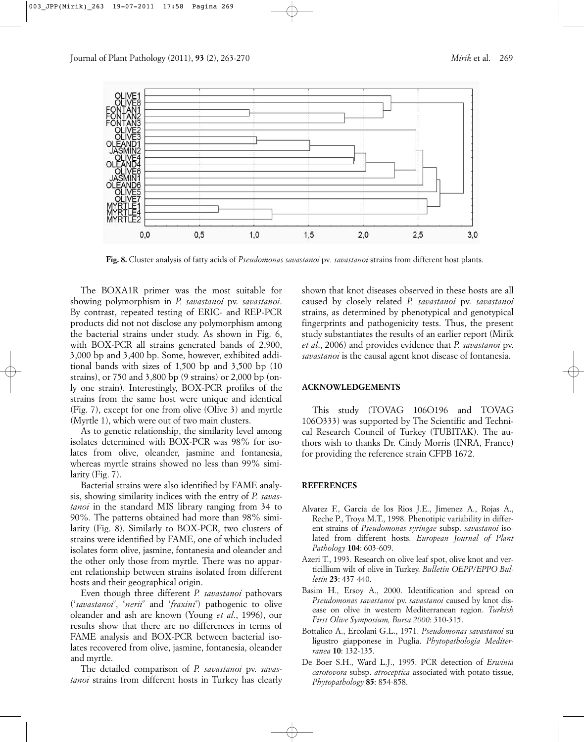

**Fig. 8.** Cluster analysis of fatty acids of *Pseudomonas savastanoi* pv*. savastanoi* strains from different host plants.

The BOXA1R primer was the most suitable for showing polymorphism in *P. savastanoi* pv. *savastanoi*. By contrast, repeated testing of ERIC- and REP-PCR products did not not disclose any polymorphism among the bacterial strains under study. As shown in Fig. 6, with BOX-PCR all strains generated bands of 2,900, 3,000 bp and 3,400 bp. Some, however, exhibited additional bands with sizes of 1,500 bp and 3,500 bp (10 strains), or 750 and 3,800 bp (9 strains) or 2,000 bp (only one strain). Interestingly, BOX-PCR profiles of the strains from the same host were unique and identical (Fig. 7), except for one from olive (Olive 3) and myrtle (Myrtle 1), which were out of two main clusters.

As to genetic relationship, the similarity level among isolates determined with BOX-PCR was 98% for isolates from olive, oleander, jasmine and fontanesia, whereas myrtle strains showed no less than 99% similarity (Fig. 7).

Bacterial strains were also identified by FAME analysis, showing similarity indices with the entry of *P. savastanoi* in the standard MIS library ranging from 34 to 90%. The patterns obtained had more than 98% similarity (Fig. 8). Similarly to BOX-PCR, two clusters of strains were identified by FAME, one of which included isolates form olive, jasmine, fontanesia and oleander and the other only those from myrtle. There was no apparent relationship between strains isolated from different hosts and their geographical origin.

Even though three different *P. savastanoi* pathovars ('*savastanoi'*, '*nerii'* and '*fraxini'*) pathogenic to olive oleander and ash are known (Young *et al*., 1996), our results show that there are no differences in terms of FAME analysis and BOX-PCR between bacterial isolates recovered from olive, jasmine, fontanesia, oleander and myrtle.

The detailed comparison of *P. savastanoi* pv. *savastanoi* strains from different hosts in Turkey has clearly shown that knot diseases observed in these hosts are all caused by closely related *P. savastanoi* pv. *savastanoi* strains, as determined by phenotypical and genotypical fingerprints and pathogenicity tests. Thus, the present study substantiates the results of an earlier report (Mirik *et al*., 2006) and provides evidence that *P. savastanoi* pv. *savastanoi* is the causal agent knot disease of fontanesia.

#### **ACKNOWLEDGEMENTS**

This study (TOVAG 106O196 and TOVAG 106O333) was supported by The Scientific and Technical Research Council of Turkey (TUBITAK). The authors wish to thanks Dr. Cindy Morris (INRA, France) for providing the reference strain CFPB 1672.

## **REFERENCES**

- Alvarez F., Garcia de los Rios J.E., Jimenez A., Rojas A., Reche P., Troya M.T., 1998. Phenotipic variability in different strains of *Pseudomonas syringae* subsp. *savastanoi* isolated from different hosts. *European Journal of Plant Pathology* **104**: 603-609.
- Azeri T., 1993. Research on olive leaf spot, olive knot and verticillium wilt of olive in Turkey. *Bulletin OEPP/EPPO Bulletin* **23**: 437-440.
- Basim H., Ersoy A., 2000. Identification and spread on *Pseudomonas savastanoi* pv. *savastanoi* caused by knot disease on olive in western Mediterranean region. *Turkish First Olive Symposium, Bursa 2000*: 310-315.
- Bottalico A., Ercolani G.L., 1971. *Pseudomonas savastanoi* su ligustro giapponese in Puglia. *Phytopathologia Mediterranea* **10**: 132-135.
- De Boer S.H., Ward L.J., 1995. PCR detection of *Erwinia carotovora* subsp. *atroceptica* associated with potato tissue, *Phytopathology* **85**: 854-858.